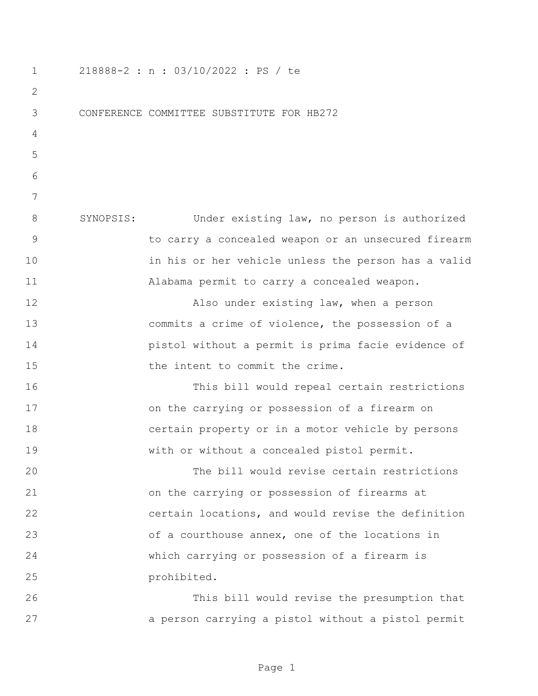218888-2 : n : 03/10/2022 : PS / te CONFERENCE COMMITTEE SUBSTITUTE FOR HB272 SYNOPSIS: Under existing law, no person is authorized to carry a concealed weapon or an unsecured firearm in his or her vehicle unless the person has a valid Alabama permit to carry a concealed weapon. Also under existing law, when a person commits a crime of violence, the possession of a pistol without a permit is prima facie evidence of the intent to commit the crime. This bill would repeal certain restrictions on the carrying or possession of a firearm on certain property or in a motor vehicle by persons with or without a concealed pistol permit. The bill would revise certain restrictions on the carrying or possession of firearms at certain locations, and would revise the definition of a courthouse annex, one of the locations in which carrying or possession of a firearm is prohibited. This bill would revise the presumption that a person carrying a pistol without a pistol permit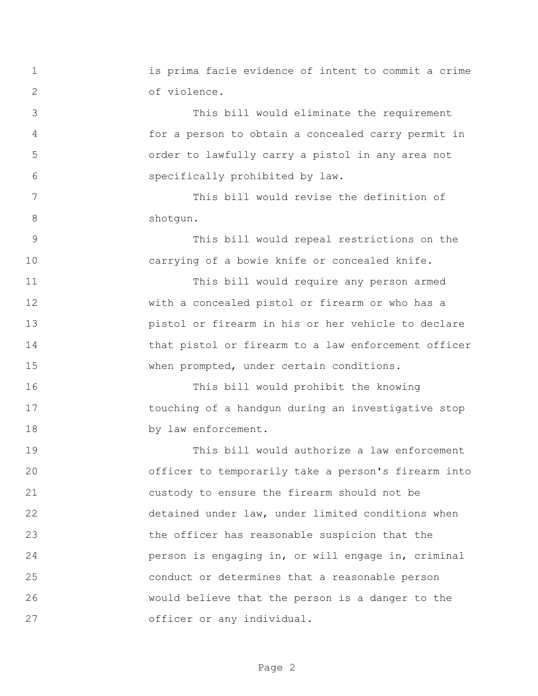is prima facie evidence of intent to commit a crime of violence. This bill would eliminate the requirement for a person to obtain a concealed carry permit in order to lawfully carry a pistol in any area not specifically prohibited by law. This bill would revise the definition of 8 shotqun. This bill would repeal restrictions on the carrying of a bowie knife or concealed knife. This bill would require any person armed with a concealed pistol or firearm or who has a pistol or firearm in his or her vehicle to declare that pistol or firearm to a law enforcement officer when prompted, under certain conditions. This bill would prohibit the knowing touching of a handgun during an investigative stop 18 by law enforcement. This bill would authorize a law enforcement officer to temporarily take a person's firearm into custody to ensure the firearm should not be detained under law, under limited conditions when the officer has reasonable suspicion that the person is engaging in, or will engage in, criminal conduct or determines that a reasonable person would believe that the person is a danger to the officer or any individual.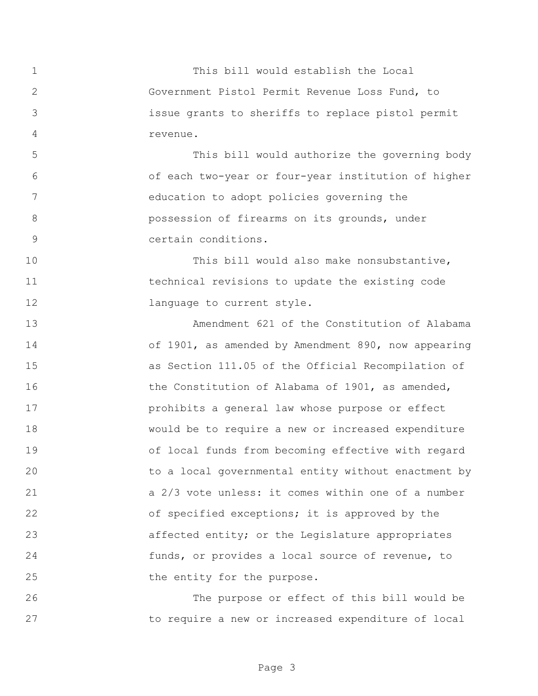This bill would establish the Local Government Pistol Permit Revenue Loss Fund, to issue grants to sheriffs to replace pistol permit revenue. This bill would authorize the governing body of each two-year or four-year institution of higher education to adopt policies governing the possession of firearms on its grounds, under certain conditions. 10 This bill would also make nonsubstantive, technical revisions to update the existing code **language to current style.**  Amendment 621 of the Constitution of Alabama of 1901, as amended by Amendment 890, now appearing as Section 111.05 of the Official Recompilation of 16 the Constitution of Alabama of 1901, as amended, prohibits a general law whose purpose or effect would be to require a new or increased expenditure of local funds from becoming effective with regard to a local governmental entity without enactment by a 2/3 vote unless: it comes within one of a number 22 of specified exceptions; it is approved by the affected entity; or the Legislature appropriates funds, or provides a local source of revenue, to 25 the entity for the purpose. The purpose or effect of this bill would be

to require a new or increased expenditure of local

Page 3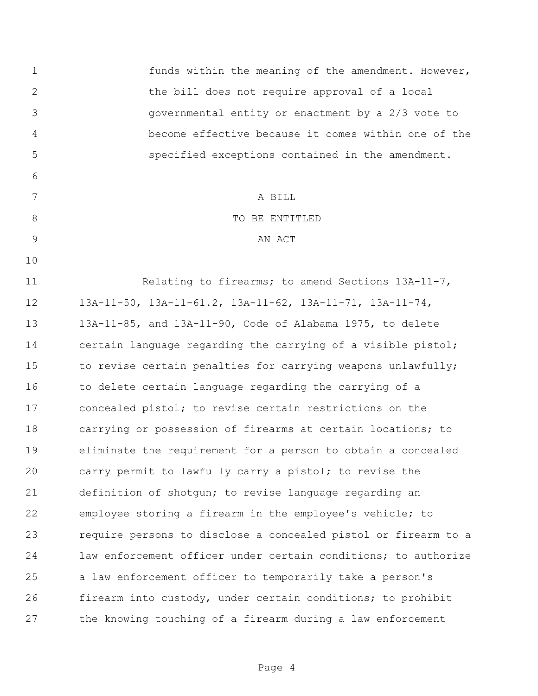funds within the meaning of the amendment. However, the bill does not require approval of a local governmental entity or enactment by a 2/3 vote to become effective because it comes within one of the specified exceptions contained in the amendment. A BILL 8 STRIP TO BE ENTITLED 9 AN ACT Relating to firearms; to amend Sections 13A-11-7, 13A-11-50, 13A-11-61.2, 13A-11-62, 13A-11-71, 13A-11-74, 13A-11-85, and 13A-11-90, Code of Alabama 1975, to delete certain language regarding the carrying of a visible pistol; 15 to revise certain penalties for carrying weapons unlawfully; 16 to delete certain language regarding the carrying of a concealed pistol; to revise certain restrictions on the carrying or possession of firearms at certain locations; to eliminate the requirement for a person to obtain a concealed carry permit to lawfully carry a pistol; to revise the definition of shotgun; to revise language regarding an employee storing a firearm in the employee's vehicle; to require persons to disclose a concealed pistol or firearm to a law enforcement officer under certain conditions; to authorize a law enforcement officer to temporarily take a person's firearm into custody, under certain conditions; to prohibit the knowing touching of a firearm during a law enforcement

Page 4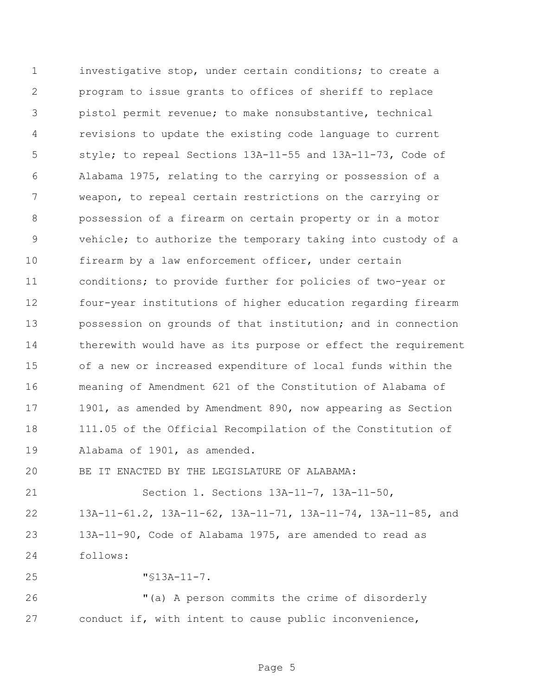investigative stop, under certain conditions; to create a program to issue grants to offices of sheriff to replace pistol permit revenue; to make nonsubstantive, technical revisions to update the existing code language to current style; to repeal Sections 13A-11-55 and 13A-11-73, Code of Alabama 1975, relating to the carrying or possession of a weapon, to repeal certain restrictions on the carrying or possession of a firearm on certain property or in a motor vehicle; to authorize the temporary taking into custody of a firearm by a law enforcement officer, under certain conditions; to provide further for policies of two-year or four-year institutions of higher education regarding firearm possession on grounds of that institution; and in connection therewith would have as its purpose or effect the requirement of a new or increased expenditure of local funds within the meaning of Amendment 621 of the Constitution of Alabama of 1901, as amended by Amendment 890, now appearing as Section 111.05 of the Official Recompilation of the Constitution of Alabama of 1901, as amended.

BE IT ENACTED BY THE LEGISLATURE OF ALABAMA:

 Section 1. Sections 13A-11-7, 13A-11-50, 13A-11-61.2, 13A-11-62, 13A-11-71, 13A-11-74, 13A-11-85, and 13A-11-90, Code of Alabama 1975, are amended to read as follows:

"§13A-11-7.

 "(a) A person commits the crime of disorderly conduct if, with intent to cause public inconvenience,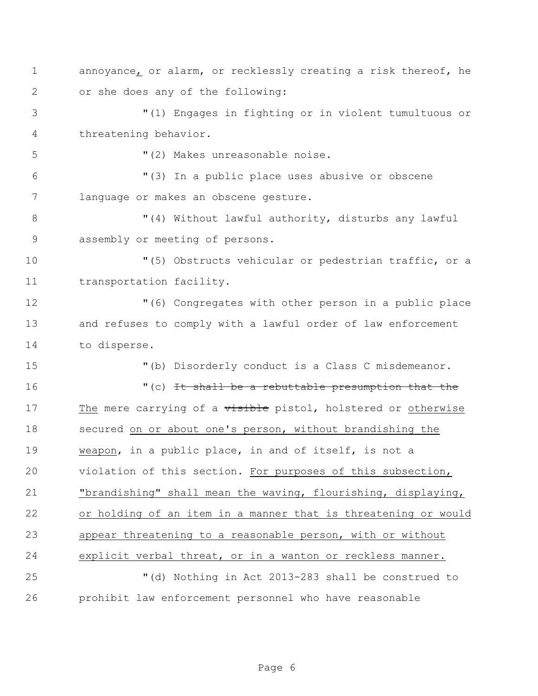annoyance, or alarm, or recklessly creating a risk thereof, he or she does any of the following:

 "(1) Engages in fighting or in violent tumultuous or threatening behavior.

"(2) Makes unreasonable noise.

 "(3) In a public place uses abusive or obscene language or makes an obscene gesture.

8 "(4) Without lawful authority, disturbs any lawful assembly or meeting of persons.

 "(5) Obstructs vehicular or pedestrian traffic, or a transportation facility.

 "(6) Congregates with other person in a public place and refuses to comply with a lawful order of law enforcement to disperse.

"(b) Disorderly conduct is a Class C misdemeanor.

16 "(c) It shall be a rebuttable presumption that the 17 The mere carrying of a visible pistol, holstered or otherwise secured on or about one's person, without brandishing the weapon, in a public place, in and of itself, is not a violation of this section. For purposes of this subsection, "brandishing" shall mean the waving, flourishing, displaying, or holding of an item in a manner that is threatening or would appear threatening to a reasonable person, with or without explicit verbal threat, or in a wanton or reckless manner. "(d) Nothing in Act 2013-283 shall be construed to

prohibit law enforcement personnel who have reasonable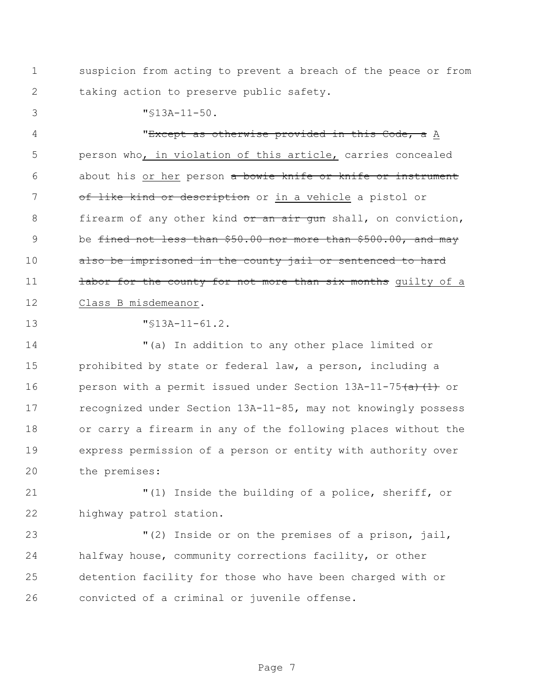suspicion from acting to prevent a breach of the peace or from taking action to preserve public safety.

"§13A-11-50.

4 TEXCEPT as otherwise provided in this Code, a A person who, in violation of this article, carries concealed 6 about his or her person a bowie knife or knife or instrument 7 of like kind or description or in a vehicle a pistol or 8 firearm of any other kind  $\sigma r$  an air gun shall, on conviction, 9 be fined not less than \$50.00 nor more than \$500.00, and may 10 also be imprisoned in the county jail or sentenced to hard **labor for the county for not more than six months** quilty of a Class B misdemeanor.

"§13A-11-61.2.

 "(a) In addition to any other place limited or 15 prohibited by state or federal law, a person, including a 16 person with a permit issued under Section 13A-11-75(a)(1) or recognized under Section 13A-11-85, may not knowingly possess or carry a firearm in any of the following places without the express permission of a person or entity with authority over the premises:

 "(1) Inside the building of a police, sheriff, or highway patrol station.

 "(2) Inside or on the premises of a prison, jail, halfway house, community corrections facility, or other detention facility for those who have been charged with or convicted of a criminal or juvenile offense.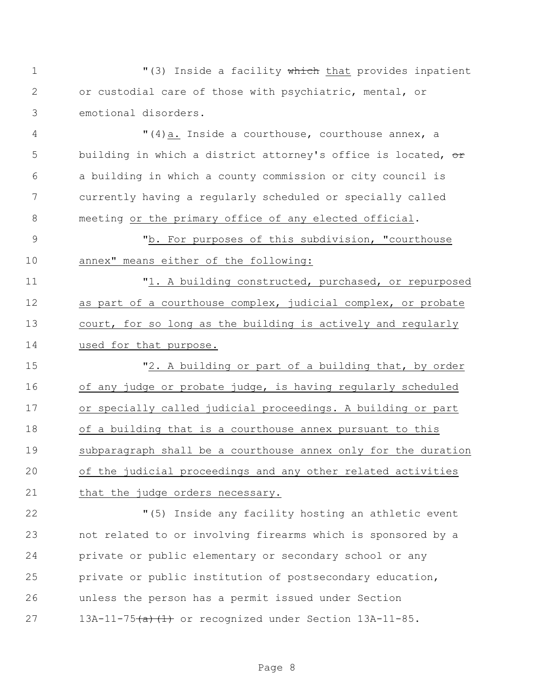1 The M(3) Inside a facility which that provides inpatient or custodial care of those with psychiatric, mental, or emotional disorders.

4 "(4)a. Inside a courthouse, courthouse annex, a 5 building in which a district attorney's office is located, or a building in which a county commission or city council is currently having a regularly scheduled or specially called meeting or the primary office of any elected official.

 "b. For purposes of this subdivision, "courthouse annex" means either of the following:

 "1. A building constructed, purchased, or repurposed as part of a courthouse complex, judicial complex, or probate court, for so long as the building is actively and regularly used for that purpose.

 "2. A building or part of a building that, by order of any judge or probate judge, is having regularly scheduled or specially called judicial proceedings. A building or part of a building that is a courthouse annex pursuant to this subparagraph shall be a courthouse annex only for the duration 20 of the judicial proceedings and any other related activities 21 that the judge orders necessary.

 "(5) Inside any facility hosting an athletic event not related to or involving firearms which is sponsored by a private or public elementary or secondary school or any private or public institution of postsecondary education, unless the person has a permit issued under Section 27 13A-11-75<del>(a)(1)</del> or recognized under Section 13A-11-85.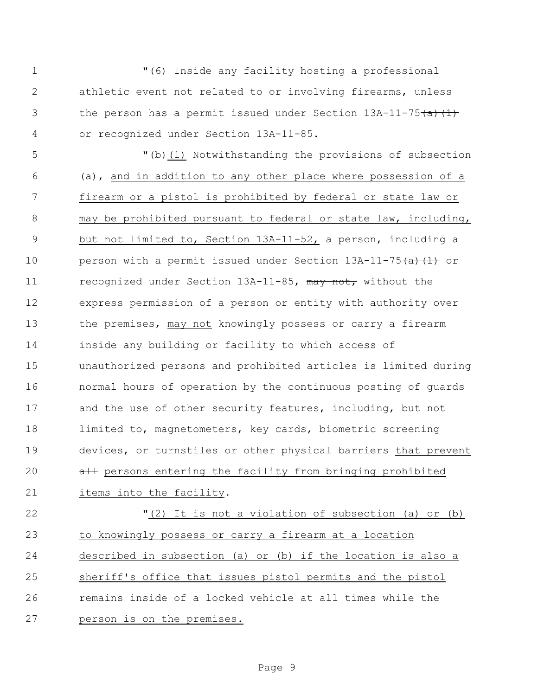"(6) Inside any facility hosting a professional athletic event not related to or involving firearms, unless 3 the person has a permit issued under Section  $13A-11-75(a)(1)$ or recognized under Section 13A-11-85.

 "(b)(1) Notwithstanding the provisions of subsection (a), and in addition to any other place where possession of a firearm or a pistol is prohibited by federal or state law or may be prohibited pursuant to federal or state law, including, but not limited to, Section 13A-11-52, a person, including a 10 person with a permit issued under Section 13A-11-75(a)(1) or 11 recognized under Section 13A-11-85, may not, without the express permission of a person or entity with authority over 13 the premises, may not knowingly possess or carry a firearm inside any building or facility to which access of unauthorized persons and prohibited articles is limited during normal hours of operation by the continuous posting of guards 17 and the use of other security features, including, but not limited to, magnetometers, key cards, biometric screening devices, or turnstiles or other physical barriers that prevent 20 all persons entering the facility from bringing prohibited items into the facility.

 "(2) It is not a violation of subsection (a) or (b) to knowingly possess or carry a firearm at a location described in subsection (a) or (b) if the location is also a sheriff's office that issues pistol permits and the pistol 26 remains inside of a locked vehicle at all times while the person is on the premises.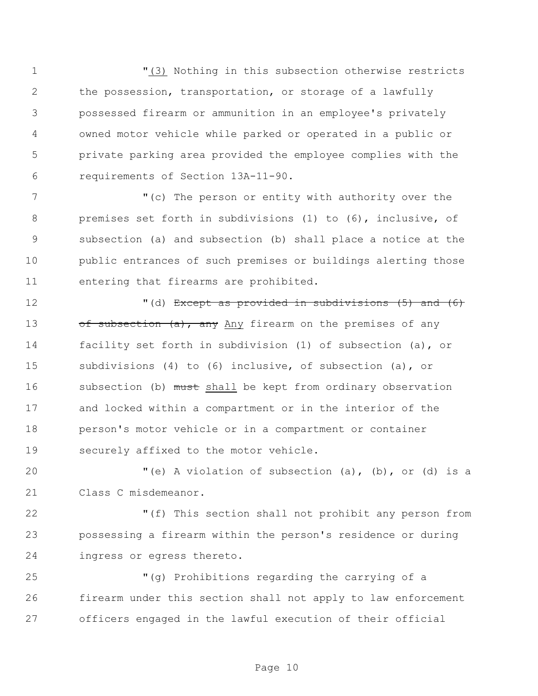"(3) Nothing in this subsection otherwise restricts the possession, transportation, or storage of a lawfully possessed firearm or ammunition in an employee's privately owned motor vehicle while parked or operated in a public or private parking area provided the employee complies with the requirements of Section 13A-11-90.

 "(c) The person or entity with authority over the premises set forth in subdivisions (1) to (6), inclusive, of subsection (a) and subsection (b) shall place a notice at the public entrances of such premises or buildings alerting those entering that firearms are prohibited.

 "(d) Except as provided in subdivisions (5) and (6) 13 of subsection (a), any Any firearm on the premises of any facility set forth in subdivision (1) of subsection (a), or subdivisions (4) to (6) inclusive, of subsection (a), or 16 subsection (b) must shall be kept from ordinary observation and locked within a compartment or in the interior of the person's motor vehicle or in a compartment or container securely affixed to the motor vehicle.

 "(e) A violation of subsection (a), (b), or (d) is a Class C misdemeanor.

 "(f) This section shall not prohibit any person from possessing a firearm within the person's residence or during ingress or egress thereto.

 "(g) Prohibitions regarding the carrying of a firearm under this section shall not apply to law enforcement officers engaged in the lawful execution of their official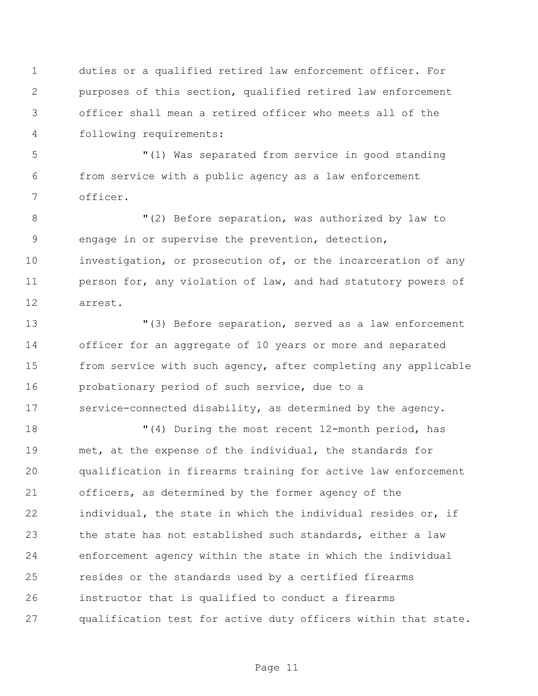duties or a qualified retired law enforcement officer. For purposes of this section, qualified retired law enforcement officer shall mean a retired officer who meets all of the following requirements:

 "(1) Was separated from service in good standing from service with a public agency as a law enforcement officer.

8 TM (2) Before separation, was authorized by law to engage in or supervise the prevention, detection, investigation, or prosecution of, or the incarceration of any person for, any violation of law, and had statutory powers of arrest.

 "(3) Before separation, served as a law enforcement officer for an aggregate of 10 years or more and separated from service with such agency, after completing any applicable probationary period of such service, due to a service-connected disability, as determined by the agency.

 "(4) During the most recent 12-month period, has met, at the expense of the individual, the standards for qualification in firearms training for active law enforcement officers, as determined by the former agency of the individual, the state in which the individual resides or, if the state has not established such standards, either a law enforcement agency within the state in which the individual resides or the standards used by a certified firearms instructor that is qualified to conduct a firearms qualification test for active duty officers within that state.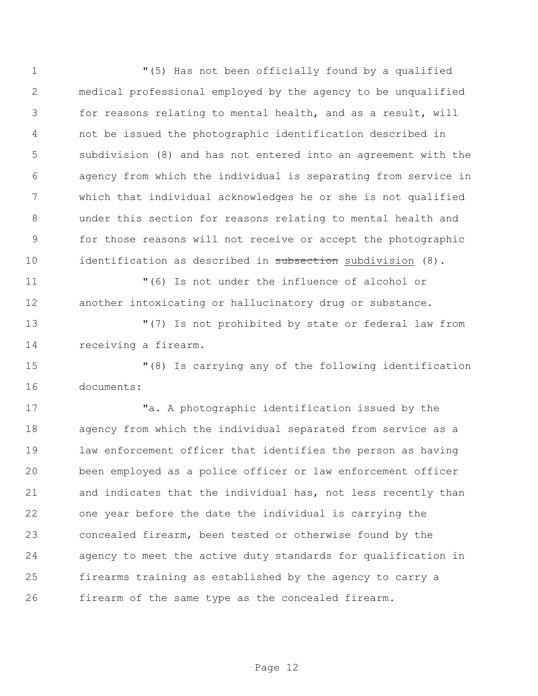"(5) Has not been officially found by a qualified medical professional employed by the agency to be unqualified for reasons relating to mental health, and as a result, will not be issued the photographic identification described in subdivision (8) and has not entered into an agreement with the agency from which the individual is separating from service in which that individual acknowledges he or she is not qualified under this section for reasons relating to mental health and for those reasons will not receive or accept the photographic 10 identification as described in subsection subdivision (8). "(6) Is not under the influence of alcohol or another intoxicating or hallucinatory drug or substance. "(7) Is not prohibited by state or federal law from receiving a firearm. "(8) Is carrying any of the following identification documents:

 "a. A photographic identification issued by the agency from which the individual separated from service as a law enforcement officer that identifies the person as having been employed as a police officer or law enforcement officer and indicates that the individual has, not less recently than one year before the date the individual is carrying the concealed firearm, been tested or otherwise found by the agency to meet the active duty standards for qualification in firearms training as established by the agency to carry a firearm of the same type as the concealed firearm.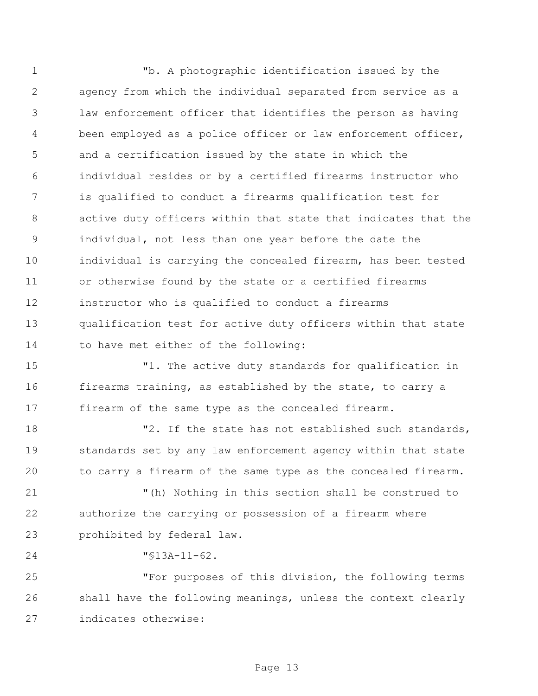"b. A photographic identification issued by the agency from which the individual separated from service as a law enforcement officer that identifies the person as having been employed as a police officer or law enforcement officer, and a certification issued by the state in which the individual resides or by a certified firearms instructor who is qualified to conduct a firearms qualification test for active duty officers within that state that indicates that the individual, not less than one year before the date the individual is carrying the concealed firearm, has been tested or otherwise found by the state or a certified firearms instructor who is qualified to conduct a firearms qualification test for active duty officers within that state to have met either of the following:

 "1. The active duty standards for qualification in firearms training, as established by the state, to carry a firearm of the same type as the concealed firearm.

18 T2. If the state has not established such standards, standards set by any law enforcement agency within that state to carry a firearm of the same type as the concealed firearm.

 "(h) Nothing in this section shall be construed to authorize the carrying or possession of a firearm where prohibited by federal law.

"§13A-11-62.

 "For purposes of this division, the following terms shall have the following meanings, unless the context clearly indicates otherwise: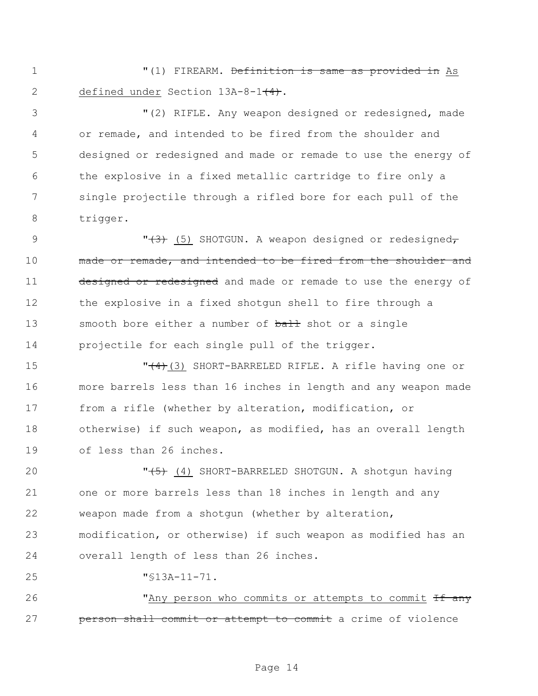"(1) FIREARM. Definition is same as provided in As 2 defined under Section 13A-8-1<del>(4)</del>.

 "(2) RIFLE. Any weapon designed or redesigned, made or remade, and intended to be fired from the shoulder and designed or redesigned and made or remade to use the energy of the explosive in a fixed metallic cartridge to fire only a single projectile through a rifled bore for each pull of the trigger.

9 "<del>(3)</del> (5) SHOTGUN. A weapon designed or redesigned, 10 made or remade, and intended to be fired from the shoulder and 11 designed or redesigned and made or remade to use the energy of the explosive in a fixed shotgun shell to fire through a 13 smooth bore either a number of ball shot or a single projectile for each single pull of the trigger.

**THE CHORT-BARRELED RIFLE.** A rifle having one or more barrels less than 16 inches in length and any weapon made from a rifle (whether by alteration, modification, or otherwise) if such weapon, as modified, has an overall length of less than 26 inches.

20 "
(4) SHORT-BARRELED SHOTGUN. A shotgun having one or more barrels less than 18 inches in length and any weapon made from a shotgun (whether by alteration, modification, or otherwise) if such weapon as modified has an overall length of less than 26 inches.

"§13A-11-71.

26 "Any person who commits or attempts to commit  $\overline{ff}$  any **person shall commit or attempt to commit** a crime of violence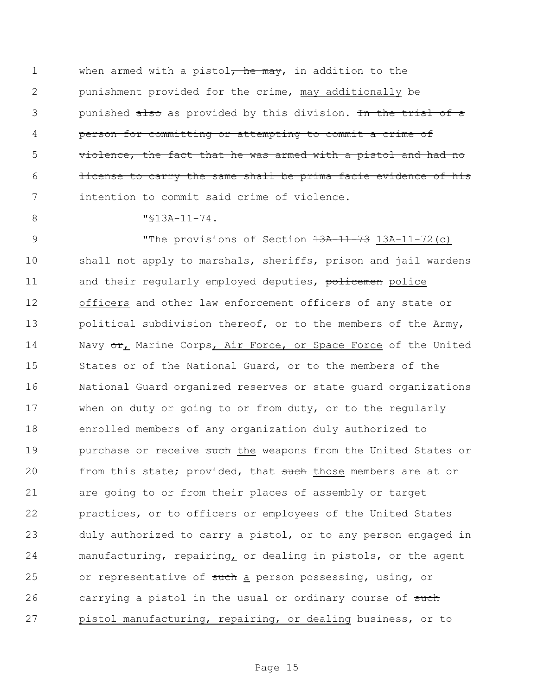1 when armed with a pistol, he may, in addition to the 2 punishment provided for the crime, may additionally be 3 punished also as provided by this division. In the trial of a 4 person for committing or attempting to commit a crime of 5 violence, the fact that he was armed with a pistol and had no 6 **license to carry the same shall be prima facie evidence of his** 7 intention to commit said crime of violence.

8 "\\$13A-11-74.

9 The provisions of Section  $\frac{13A-11-73}{13A-11-72(c)}$ 10 shall not apply to marshals, sheriffs, prison and jail wardens 11 and their regularly employed deputies, policemen police 12 officers and other law enforcement officers of any state or 13 political subdivision thereof, or to the members of the Army, 14 Navy or, Marine Corps, Air Force, or Space Force of the United 15 States or of the National Guard, or to the members of the 16 National Guard organized reserves or state guard organizations 17 when on duty or going to or from duty, or to the regularly 18 enrolled members of any organization duly authorized to 19 purchase or receive such the weapons from the United States or 20 from this state; provided, that such those members are at or 21 are going to or from their places of assembly or target 22 practices, or to officers or employees of the United States 23 duly authorized to carry a pistol, or to any person engaged in 24 manufacturing, repairing, or dealing in pistols, or the agent 25 or representative of such a person possessing, using, or 26 carrying a pistol in the usual or ordinary course of such 27 pistol manufacturing, repairing, or dealing business, or to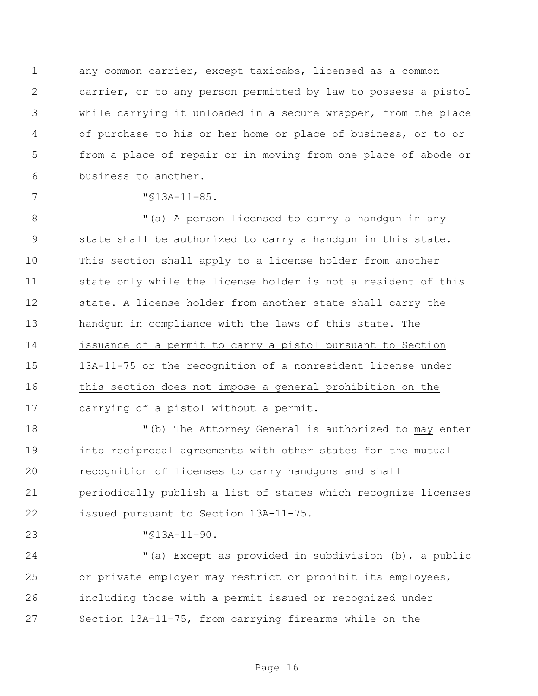any common carrier, except taxicabs, licensed as a common carrier, or to any person permitted by law to possess a pistol while carrying it unloaded in a secure wrapper, from the place of purchase to his or her home or place of business, or to or from a place of repair or in moving from one place of abode or business to another.

"§13A-11-85.

8 The M<sub>(a)</sub> A person licensed to carry a handgun in any state shall be authorized to carry a handgun in this state. This section shall apply to a license holder from another state only while the license holder is not a resident of this state. A license holder from another state shall carry the handgun in compliance with the laws of this state. The issuance of a permit to carry a pistol pursuant to Section 13A-11-75 or the recognition of a nonresident license under this section does not impose a general prohibition on the carrying of a pistol without a permit.

18 The Attorney General is authorized to may enter into reciprocal agreements with other states for the mutual recognition of licenses to carry handguns and shall periodically publish a list of states which recognize licenses issued pursuant to Section 13A-11-75.

"§13A-11-90.

 "(a) Except as provided in subdivision (b), a public or private employer may restrict or prohibit its employees, including those with a permit issued or recognized under Section 13A-11-75, from carrying firearms while on the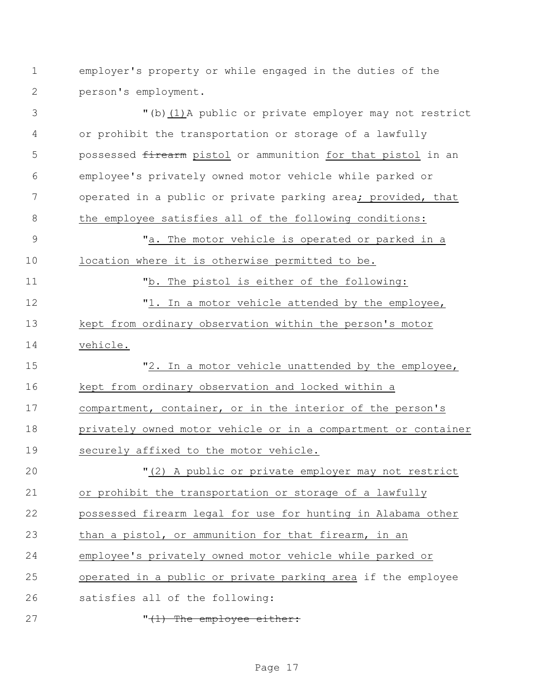employer's property or while engaged in the duties of the person's employment.

 "(b)(1)A public or private employer may not restrict or prohibit the transportation or storage of a lawfully 5 possessed firearm pistol or ammunition for that pistol in an employee's privately owned motor vehicle while parked or 7 operated in a public or private parking area; provided, that the employee satisfies all of the following conditions: "a. The motor vehicle is operated or parked in a location where it is otherwise permitted to be. "b. The pistol is either of the following: 12 T1. In a motor vehicle attended by the employee, kept from ordinary observation within the person's motor vehicle. 15 "2. In a motor vehicle unattended by the employee, kept from ordinary observation and locked within a compartment, container, or in the interior of the person's privately owned motor vehicle or in a compartment or container securely affixed to the motor vehicle. "(2) A public or private employer may not restrict or prohibit the transportation or storage of a lawfully possessed firearm legal for use for hunting in Alabama other than a pistol, or ammunition for that firearm, in an employee's privately owned motor vehicle while parked or operated in a public or private parking area if the employee satisfies all of the following: 27 The employee either: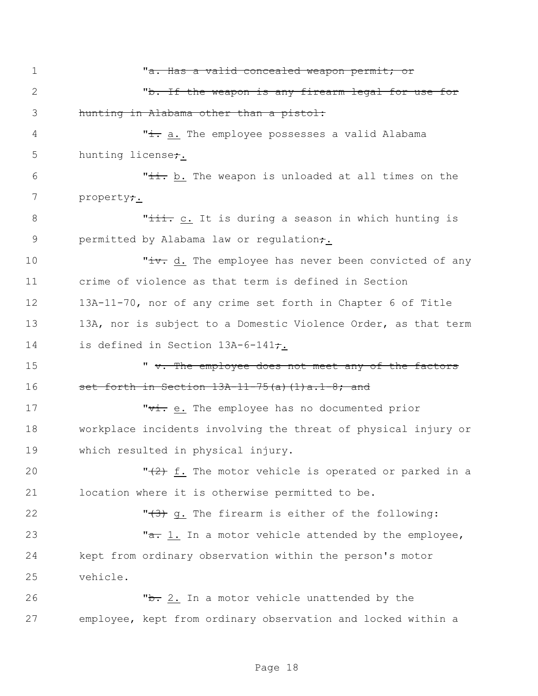1 "a. Has a valid concealed weapon permit; or 2 The Veapon is any firearm legal for use for 3 hunting in Alabama other than a pistol: 4 The employee possesses a valid Alabama is the employee possesses a valid Alabama 5 hunting license; 6 The With the weapon is unloaded at all times on the 7 property<del>;</del> 8 This c. It is during a season in which hunting is 9 permitted by Alabama law or regulation<del>;</del>. 10 Tiv. d. The employee has never been convicted of any 11 crime of violence as that term is defined in Section 12 13A-11-70, nor of any crime set forth in Chapter 6 of Title 13 13A, nor is subject to a Domestic Violence Order, as that term 14 is defined in Section 13A-6-141<del>;</del>. 15  $\ldots$   $\ldots$   $\ldots$  The employee does not meet any of the factors 16 set forth in Section  $13A-11-75(a)$  (1)  $a.1-8$ ; and 17 The . The employee has no documented prior 18 workplace incidents involving the threat of physical injury or 19 which resulted in physical injury. 20  $\frac{1}{2}$   $\frac{1}{2}$  f. The motor vehicle is operated or parked in a 21 location where it is otherwise permitted to be. 22  $\sqrt{3}$ , The firearm is either of the following: 23 Ta. 1. In a motor vehicle attended by the employee, 24 kept from ordinary observation within the person's motor 25 vehicle. 26 The 2. In a motor vehicle unattended by the 27 employee, kept from ordinary observation and locked within a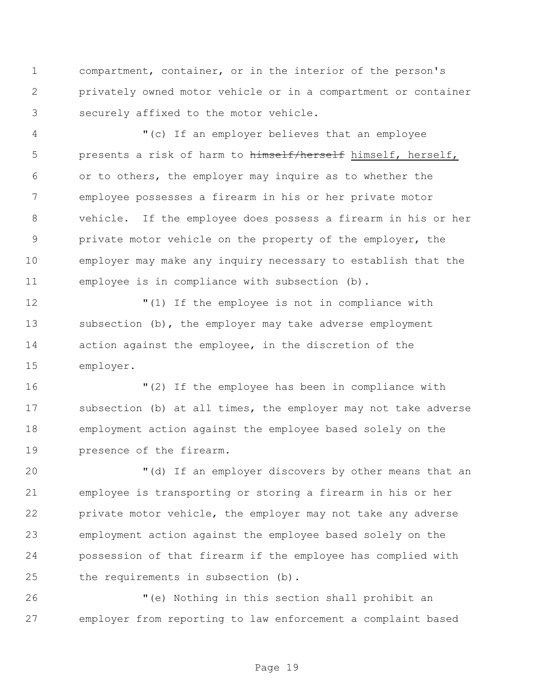compartment, container, or in the interior of the person's privately owned motor vehicle or in a compartment or container securely affixed to the motor vehicle.

 "(c) If an employer believes that an employee 5 presents a risk of harm to himself/herself himself, herself, or to others, the employer may inquire as to whether the employee possesses a firearm in his or her private motor vehicle. If the employee does possess a firearm in his or her private motor vehicle on the property of the employer, the employer may make any inquiry necessary to establish that the employee is in compliance with subsection (b).

 "(1) If the employee is not in compliance with subsection (b), the employer may take adverse employment action against the employee, in the discretion of the employer.

 "(2) If the employee has been in compliance with subsection (b) at all times, the employer may not take adverse employment action against the employee based solely on the presence of the firearm.

 "(d) If an employer discovers by other means that an employee is transporting or storing a firearm in his or her private motor vehicle, the employer may not take any adverse employment action against the employee based solely on the possession of that firearm if the employee has complied with the requirements in subsection (b).

 "(e) Nothing in this section shall prohibit an employer from reporting to law enforcement a complaint based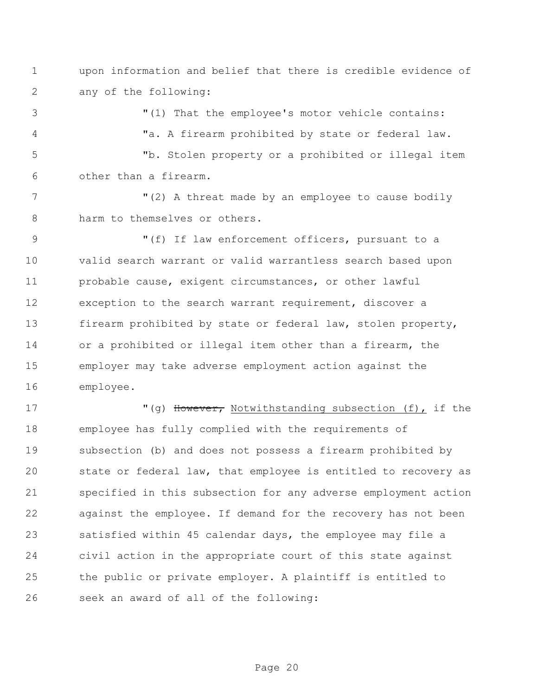upon information and belief that there is credible evidence of any of the following:

 "(1) That the employee's motor vehicle contains: "a. A firearm prohibited by state or federal law. "b. Stolen property or a prohibited or illegal item other than a firearm.

7 The M(2) A threat made by an employee to cause bodily 8 harm to themselves or others.

 "(f) If law enforcement officers, pursuant to a valid search warrant or valid warrantless search based upon probable cause, exigent circumstances, or other lawful exception to the search warrant requirement, discover a firearm prohibited by state or federal law, stolen property, or a prohibited or illegal item other than a firearm, the employer may take adverse employment action against the employee.

17 "(g) However, Notwithstanding subsection (f), if the employee has fully complied with the requirements of subsection (b) and does not possess a firearm prohibited by state or federal law, that employee is entitled to recovery as specified in this subsection for any adverse employment action against the employee. If demand for the recovery has not been satisfied within 45 calendar days, the employee may file a civil action in the appropriate court of this state against the public or private employer. A plaintiff is entitled to seek an award of all of the following: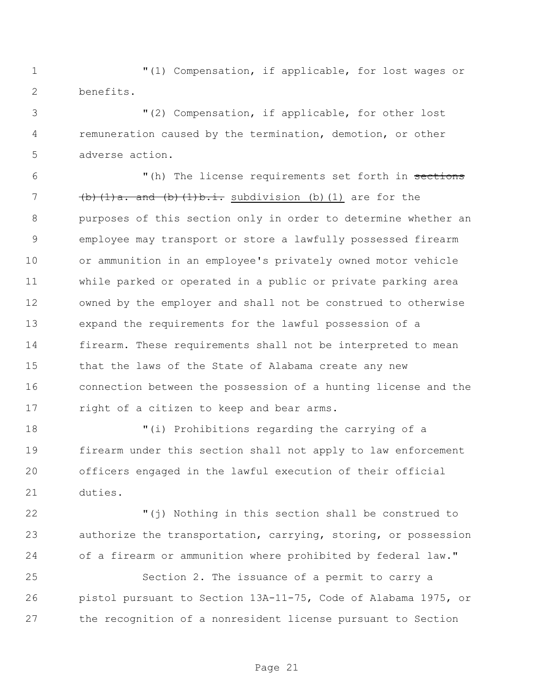"(1) Compensation, if applicable, for lost wages or benefits.

 "(2) Compensation, if applicable, for other lost remuneration caused by the termination, demotion, or other adverse action.

6 The license requirements set forth in sections  $(b)$   $(1)a$ , and  $(b)$   $(1)b$ ,  $\vdots$ , subdivision (b)  $(1)$  are for the purposes of this section only in order to determine whether an employee may transport or store a lawfully possessed firearm or ammunition in an employee's privately owned motor vehicle while parked or operated in a public or private parking area owned by the employer and shall not be construed to otherwise expand the requirements for the lawful possession of a firearm. These requirements shall not be interpreted to mean that the laws of the State of Alabama create any new connection between the possession of a hunting license and the 17 right of a citizen to keep and bear arms.

 "(i) Prohibitions regarding the carrying of a firearm under this section shall not apply to law enforcement officers engaged in the lawful execution of their official duties.

 "(j) Nothing in this section shall be construed to authorize the transportation, carrying, storing, or possession 24 of a firearm or ammunition where prohibited by federal law."

 Section 2. The issuance of a permit to carry a pistol pursuant to Section 13A-11-75, Code of Alabama 1975, or the recognition of a nonresident license pursuant to Section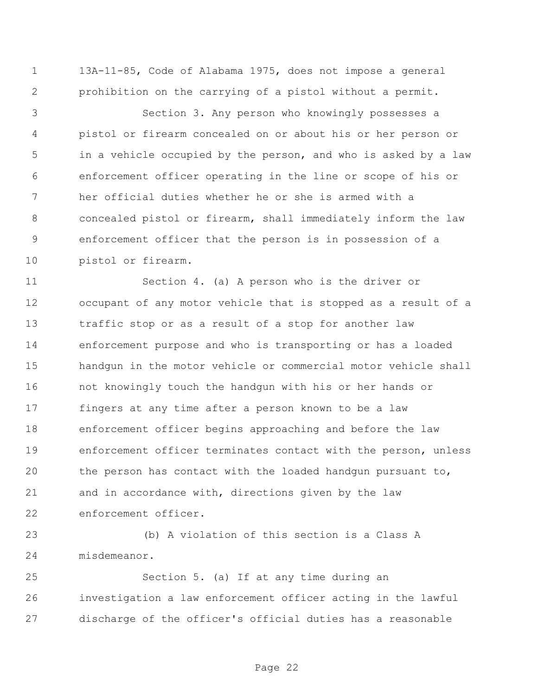13A-11-85, Code of Alabama 1975, does not impose a general prohibition on the carrying of a pistol without a permit.

 Section 3. Any person who knowingly possesses a pistol or firearm concealed on or about his or her person or in a vehicle occupied by the person, and who is asked by a law enforcement officer operating in the line or scope of his or her official duties whether he or she is armed with a concealed pistol or firearm, shall immediately inform the law enforcement officer that the person is in possession of a pistol or firearm.

 Section 4. (a) A person who is the driver or occupant of any motor vehicle that is stopped as a result of a traffic stop or as a result of a stop for another law enforcement purpose and who is transporting or has a loaded handgun in the motor vehicle or commercial motor vehicle shall not knowingly touch the handgun with his or her hands or fingers at any time after a person known to be a law enforcement officer begins approaching and before the law enforcement officer terminates contact with the person, unless the person has contact with the loaded handgun pursuant to, and in accordance with, directions given by the law enforcement officer.

 (b) A violation of this section is a Class A misdemeanor.

 Section 5. (a) If at any time during an investigation a law enforcement officer acting in the lawful discharge of the officer's official duties has a reasonable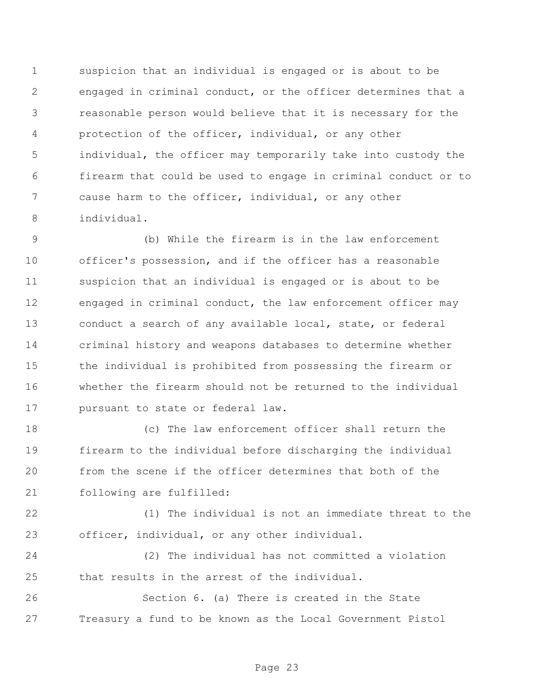suspicion that an individual is engaged or is about to be engaged in criminal conduct, or the officer determines that a reasonable person would believe that it is necessary for the protection of the officer, individual, or any other individual, the officer may temporarily take into custody the firearm that could be used to engage in criminal conduct or to cause harm to the officer, individual, or any other individual.

 (b) While the firearm is in the law enforcement officer's possession, and if the officer has a reasonable suspicion that an individual is engaged or is about to be engaged in criminal conduct, the law enforcement officer may conduct a search of any available local, state, or federal criminal history and weapons databases to determine whether the individual is prohibited from possessing the firearm or whether the firearm should not be returned to the individual pursuant to state or federal law.

 (c) The law enforcement officer shall return the firearm to the individual before discharging the individual from the scene if the officer determines that both of the following are fulfilled:

 (1) The individual is not an immediate threat to the officer, individual, or any other individual.

 (2) The individual has not committed a violation that results in the arrest of the individual.

 Section 6. (a) There is created in the State Treasury a fund to be known as the Local Government Pistol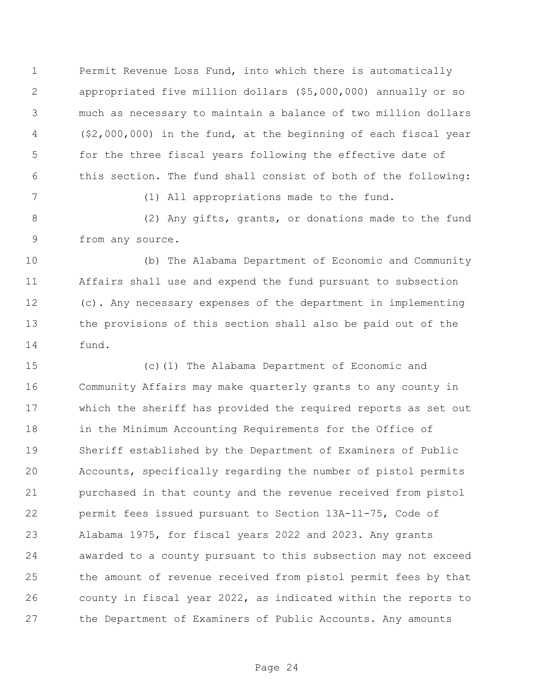Permit Revenue Loss Fund, into which there is automatically appropriated five million dollars (\$5,000,000) annually or so much as necessary to maintain a balance of two million dollars (\$2,000,000) in the fund, at the beginning of each fiscal year for the three fiscal years following the effective date of this section. The fund shall consist of both of the following:

(1) All appropriations made to the fund.

 (2) Any gifts, grants, or donations made to the fund from any source.

 (b) The Alabama Department of Economic and Community Affairs shall use and expend the fund pursuant to subsection (c). Any necessary expenses of the department in implementing the provisions of this section shall also be paid out of the fund.

 (c)(1) The Alabama Department of Economic and Community Affairs may make quarterly grants to any county in which the sheriff has provided the required reports as set out in the Minimum Accounting Requirements for the Office of Sheriff established by the Department of Examiners of Public Accounts, specifically regarding the number of pistol permits purchased in that county and the revenue received from pistol permit fees issued pursuant to Section 13A-11-75, Code of Alabama 1975, for fiscal years 2022 and 2023. Any grants awarded to a county pursuant to this subsection may not exceed the amount of revenue received from pistol permit fees by that county in fiscal year 2022, as indicated within the reports to the Department of Examiners of Public Accounts. Any amounts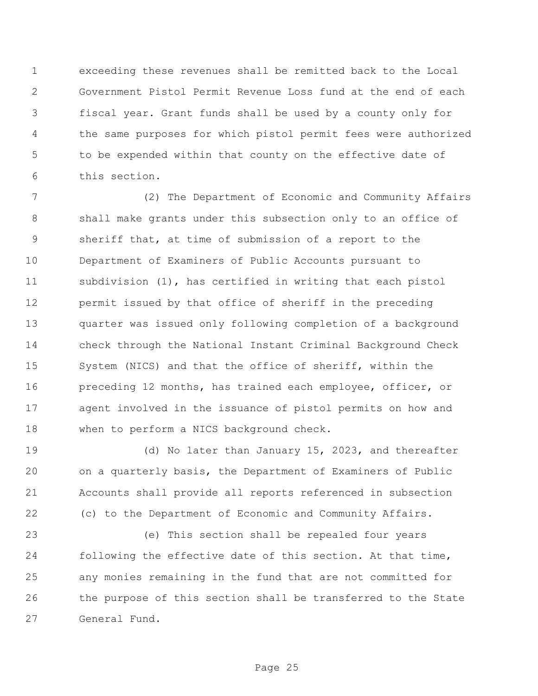exceeding these revenues shall be remitted back to the Local Government Pistol Permit Revenue Loss fund at the end of each fiscal year. Grant funds shall be used by a county only for the same purposes for which pistol permit fees were authorized to be expended within that county on the effective date of this section.

 (2) The Department of Economic and Community Affairs shall make grants under this subsection only to an office of sheriff that, at time of submission of a report to the Department of Examiners of Public Accounts pursuant to subdivision (1), has certified in writing that each pistol permit issued by that office of sheriff in the preceding quarter was issued only following completion of a background check through the National Instant Criminal Background Check System (NICS) and that the office of sheriff, within the preceding 12 months, has trained each employee, officer, or agent involved in the issuance of pistol permits on how and 18 when to perform a NICS background check.

 (d) No later than January 15, 2023, and thereafter on a quarterly basis, the Department of Examiners of Public Accounts shall provide all reports referenced in subsection (c) to the Department of Economic and Community Affairs.

 (e) This section shall be repealed four years following the effective date of this section. At that time, any monies remaining in the fund that are not committed for the purpose of this section shall be transferred to the State General Fund.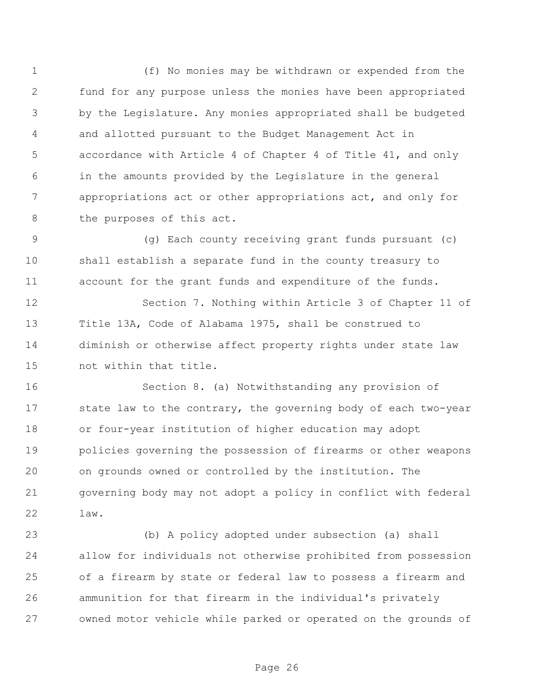(f) No monies may be withdrawn or expended from the fund for any purpose unless the monies have been appropriated by the Legislature. Any monies appropriated shall be budgeted and allotted pursuant to the Budget Management Act in accordance with Article 4 of Chapter 4 of Title 41, and only in the amounts provided by the Legislature in the general appropriations act or other appropriations act, and only for 8 the purposes of this act.

 (g) Each county receiving grant funds pursuant (c) shall establish a separate fund in the county treasury to account for the grant funds and expenditure of the funds.

 Section 7. Nothing within Article 3 of Chapter 11 of Title 13A, Code of Alabama 1975, shall be construed to diminish or otherwise affect property rights under state law not within that title.

 Section 8. (a) Notwithstanding any provision of 17 state law to the contrary, the governing body of each two-year or four-year institution of higher education may adopt policies governing the possession of firearms or other weapons on grounds owned or controlled by the institution. The governing body may not adopt a policy in conflict with federal law.

 (b) A policy adopted under subsection (a) shall allow for individuals not otherwise prohibited from possession of a firearm by state or federal law to possess a firearm and ammunition for that firearm in the individual's privately owned motor vehicle while parked or operated on the grounds of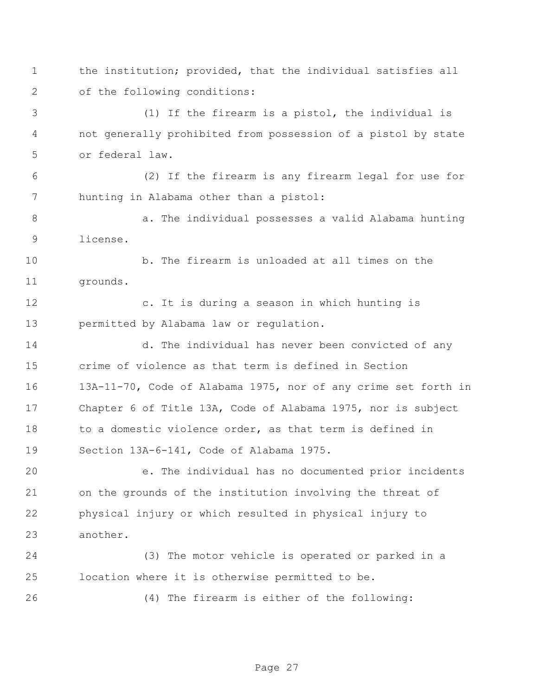the institution; provided, that the individual satisfies all of the following conditions:

 (1) If the firearm is a pistol, the individual is not generally prohibited from possession of a pistol by state or federal law.

 (2) If the firearm is any firearm legal for use for hunting in Alabama other than a pistol:

 a. The individual possesses a valid Alabama hunting license.

 b. The firearm is unloaded at all times on the grounds.

 c. It is during a season in which hunting is permitted by Alabama law or regulation.

 d. The individual has never been convicted of any crime of violence as that term is defined in Section 13A-11-70, Code of Alabama 1975, nor of any crime set forth in Chapter 6 of Title 13A, Code of Alabama 1975, nor is subject 18 to a domestic violence order, as that term is defined in Section 13A-6-141, Code of Alabama 1975.

 e. The individual has no documented prior incidents on the grounds of the institution involving the threat of physical injury or which resulted in physical injury to another.

 (3) The motor vehicle is operated or parked in a location where it is otherwise permitted to be.

(4) The firearm is either of the following: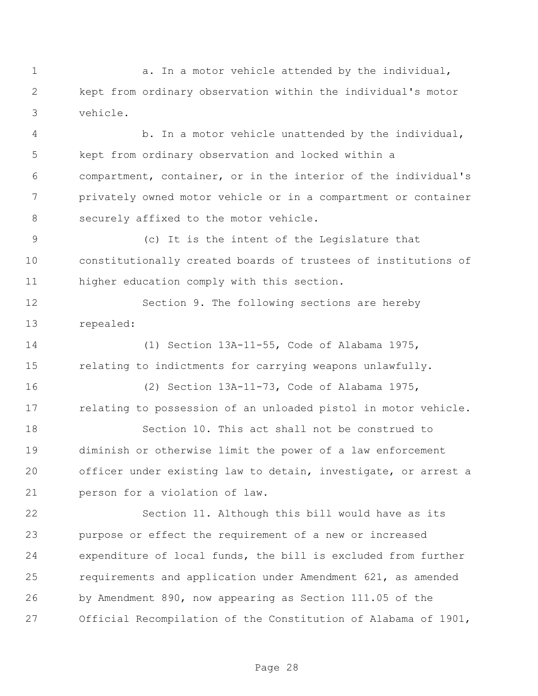1 a. In a motor vehicle attended by the individual, kept from ordinary observation within the individual's motor vehicle.

 b. In a motor vehicle unattended by the individual, kept from ordinary observation and locked within a compartment, container, or in the interior of the individual's privately owned motor vehicle or in a compartment or container securely affixed to the motor vehicle.

 (c) It is the intent of the Legislature that constitutionally created boards of trustees of institutions of higher education comply with this section.

 Section 9. The following sections are hereby repealed:

 (1) Section 13A-11-55, Code of Alabama 1975, relating to indictments for carrying weapons unlawfully.

 (2) Section 13A-11-73, Code of Alabama 1975, relating to possession of an unloaded pistol in motor vehicle.

 Section 10. This act shall not be construed to diminish or otherwise limit the power of a law enforcement officer under existing law to detain, investigate, or arrest a person for a violation of law.

 Section 11. Although this bill would have as its purpose or effect the requirement of a new or increased expenditure of local funds, the bill is excluded from further requirements and application under Amendment 621, as amended by Amendment 890, now appearing as Section 111.05 of the Official Recompilation of the Constitution of Alabama of 1901,

Page 28